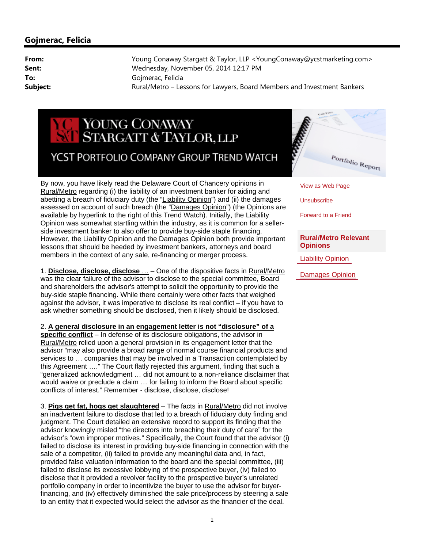## YOUNG CONAWAY STARGATT & TAYLOR, LLP YCST PORTFOLIO COMPANY GROUP TREND WATCH

By now, you have likely read the Delaware Court of Chancery opinions in Rural/Metro regarding (i) the liability of an investment banker for aiding and abetting a breach of fiduciary duty (the "Liability Opinion") and (ii) the damages assessed on account of such breach (the "Damages Opinion") (the Opinions are available by hyperlink to the right of this Trend Watch). Initially, the Liability Opinion was somewhat startling within the industry, as it is common for a sellerside investment banker to also offer to provide buy-side staple financing. However, the Liability Opinion and the Damages Opinion both provide important lessons that should be heeded by investment bankers, attorneys and board members in the context of any sale, re-financing or merger process.

1. **Disclose, disclose, disclose** … – One of the dispositive facts in Rural/Metro was the clear failure of the advisor to disclose to the special committee, Board and shareholders the advisor's attempt to solicit the opportunity to provide the buy-side staple financing. While there certainly were other facts that weighed against the advisor, it was imperative to disclose its real conflict – if you have to ask whether something should be disclosed, then it likely should be disclosed.

2. **A general disclosure in an engagement letter is not "disclosure" of a specific conflict** – In defense of its disclosure obligations, the advisor in Rural/Metro relied upon a general provision in its engagement letter that the advisor "may also provide a broad range of normal course financial products and services to … companies that may be involved in a Transaction contemplated by this Agreement …." The Court flatly rejected this argument, finding that such a "generalized acknowledgment … did not amount to a non-reliance disclaimer that would waive or preclude a claim … for failing to inform the Board about specific conflicts of interest." Remember - disclose, disclose, disclose!

3. **Pigs get fat, hogs get slaughtered** – The facts in Rural/Metro did not involve an inadvertent failure to disclose that led to a breach of fiduciary duty finding and judgment. The Court detailed an extensive record to support its finding that the advisor knowingly misled "the directors into breaching their duty of care" for the advisor's "own improper motives." Specifically, the Court found that the advisor (i) failed to disclose its interest in providing buy-side financing in connection with the sale of a competitor, (ii) failed to provide any meaningful data and, in fact, provided false valuation information to the board and the special committee, (iii) failed to disclose its excessive lobbying of the prospective buyer, (iv) failed to disclose that it provided a revolver facility to the prospective buyer's unrelated portfolio company in order to incentivize the buyer to use the advisor for buyerfinancing, and (iv) effectively diminished the sale price/process by steering a sale to an entity that it expected would select the advisor as the financier of the deal.



View as Web Page

**Unsubscribe** 

Forward to a Friend

## **Rural/Metro Relevant Opinions**

[Liability Opinion](http://www.youngconaway.com//files//upload/RuralMetroLiabilityOp.pdf)

[Damages Opinion](http://www.youngconaway.com//files//upload/RuralMetroOp.pdf)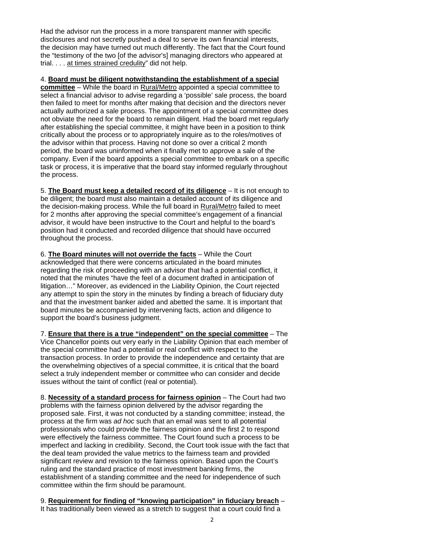Had the advisor run the process in a more transparent manner with specific disclosures and not secretly pushed a deal to serve its own financial interests, the decision may have turned out much differently. The fact that the Court found the "testimony of the two [of the advisor's] managing directors who appeared at trial. . . . at times strained credulity" did not help.

4. **Board must be diligent notwithstanding the establishment of a special committee** – While the board in Rural/Metro appointed a special committee to select a financial advisor to advise regarding a 'possible' sale process, the board then failed to meet for months after making that decision and the directors never actually authorized a sale process. The appointment of a special committee does not obviate the need for the board to remain diligent. Had the board met regularly after establishing the special committee, it might have been in a position to think critically about the process or to appropriately inquire as to the roles/motives of the advisor within that process. Having not done so over a critical 2 month period, the board was uninformed when it finally met to approve a sale of the company. Even if the board appoints a special committee to embark on a specific task or process, it is imperative that the board stay informed regularly throughout the process.

5. **The Board must keep a detailed record of its diligence** – It is not enough to be diligent; the board must also maintain a detailed account of its diligence and the decision-making process. While the full board in Rural/Metro failed to meet for 2 months after approving the special committee's engagement of a financial advisor, it would have been instructive to the Court and helpful to the board's position had it conducted and recorded diligence that should have occurred throughout the process.

6. **The Board minutes will not override the facts** – While the Court acknowledged that there were concerns articulated in the board minutes regarding the risk of proceeding with an advisor that had a potential conflict, it noted that the minutes "have the feel of a document drafted in anticipation of litigation…" Moreover, as evidenced in the Liability Opinion, the Court rejected any attempt to spin the story in the minutes by finding a breach of fiduciary duty and that the investment banker aided and abetted the same. It is important that board minutes be accompanied by intervening facts, action and diligence to support the board's business judgment.

7. **Ensure that there is a true "independent" on the special committee** – The Vice Chancellor points out very early in the Liability Opinion that each member of the special committee had a potential or real conflict with respect to the transaction process. In order to provide the independence and certainty that are the overwhelming objectives of a special committee, it is critical that the board select a truly independent member or committee who can consider and decide issues without the taint of conflict (real or potential).

8. **Necessity of a standard process for fairness opinion** – The Court had two problems with the fairness opinion delivered by the advisor regarding the proposed sale. First, it was not conducted by a standing committee; instead, the process at the firm was *ad hoc* such that an email was sent to all potential professionals who could provide the fairness opinion and the first 2 to respond were effectively the fairness committee. The Court found such a process to be imperfect and lacking in credibility. Second, the Court took issue with the fact that the deal team provided the value metrics to the fairness team and provided significant review and revision to the fairness opinion. Based upon the Court's ruling and the standard practice of most investment banking firms, the establishment of a standing committee and the need for independence of such committee within the firm should be paramount.

9. **Requirement for finding of "knowing participation" in fiduciary breach** – It has traditionally been viewed as a stretch to suggest that a court could find a